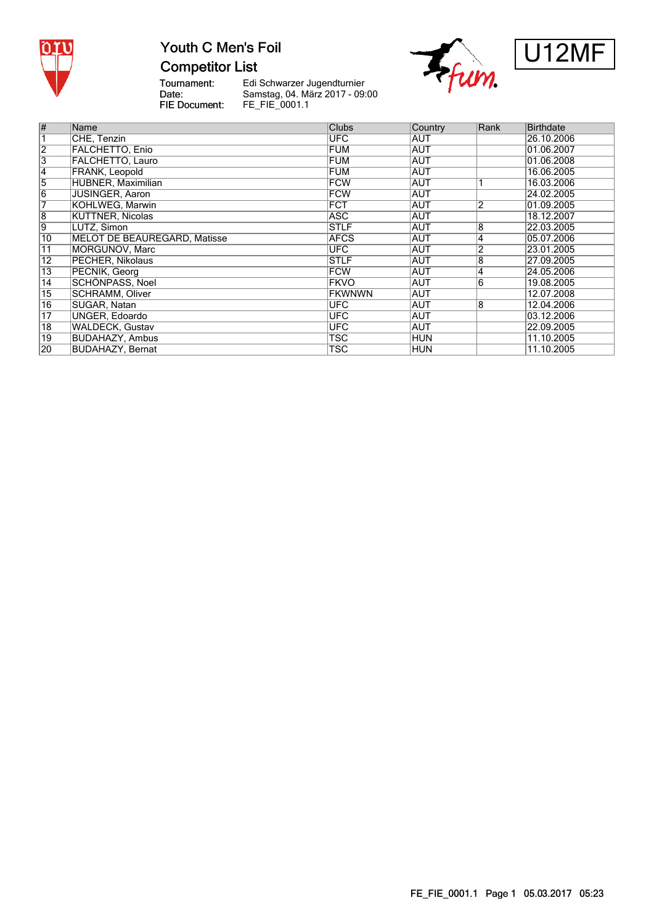

## Youth C Men's Foil **Competitor List**





Tournament:<br>Date: FIE Document:

| $\overline{\#}$         | Name                         | <b>Clubs</b>  | Country    | Rank           | <b>Birthdate</b> |
|-------------------------|------------------------------|---------------|------------|----------------|------------------|
| $\overline{\mathbf{1}}$ | CHE, Tenzin                  | <b>UFC</b>    | AUT        |                | 26.10.2006       |
|                         |                              |               |            |                |                  |
|                         | <b>FALCHETTO, Enio</b>       | <b>FUM</b>    | <b>AUT</b> |                | 01.06.2007       |
| $\frac{2}{3}$           | <b>FALCHETTO, Lauro</b>      | <b>FUM</b>    | AUT        |                | 01.06.2008       |
| $\overline{4}$          | <b>FRANK, Leopold</b>        | <b>FUM</b>    | <b>AUT</b> |                | 16.06.2005       |
| $\overline{5}$          | <b>HUBNER, Maximilian</b>    | <b>FCW</b>    | <b>AUT</b> |                | 16.03.2006       |
| $\overline{6}$          | <b>JUSINGER, Aaron</b>       | <b>FCW</b>    | <b>AUT</b> |                | 24.02.2005       |
| 7                       | KOHLWEG, Marwin              | <b>FCT</b>    | <b>AUT</b> | 2              | 01.09.2005       |
| $\overline{8}$          | KÜTTNER, Nicolas             | ASC           | AUT        |                | 18.12.2007       |
| $\overline{9}$          | LUTZ, Simon                  | <b>STLF</b>   | <b>AUT</b> | 8              | 22.03.2005       |
| $\overline{10}$         | MELOT DE BEAUREGARD. Matisse | <b>AFCS</b>   | <b>AUT</b> | 4              | 05.07.2006       |
| 11                      | MORGUNOV, Marc               | <b>UFC</b>    | <b>AUT</b> | $\overline{2}$ | 23.01.2005       |
| $\overline{12}$         | PECHER, Nikolaus             | <b>STLF</b>   | AUT        | 8              | 27.09.2005       |
| $\overline{13}$         | PECNIK, Georg                | <b>FCW</b>    | <b>AUT</b> | 4              | 24.05.2006       |
| $\overline{14}$         | <b>SCHÖNPASS, Noel</b>       | <b>FKVO</b>   | <b>AUT</b> | 6              | 19.08.2005       |
| $\overline{15}$         | <b>SCHRAMM, Oliver</b>       | <b>FKWNWN</b> | <b>AUT</b> |                | 12.07.2008       |
| $\overline{16}$         | SUGAR, Natan                 | UFC.          | <b>AUT</b> | 8              | 12.04.2006       |
| 17                      | UNGER, Edoardo               | <b>UFC</b>    | AUT        |                | 03.12.2006       |
| 18                      | <b>WALDECK, Gustav</b>       | <b>UFC</b>    | <b>AUT</b> |                | 22.09.2005       |
| $\overline{19}$         | <b>BUDAHAZY, Ambus</b>       | TSC           | <b>HUN</b> |                | 11.10.2005       |
| $\overline{20}$         | <b>BUDAHAZY, Bernat</b>      | <b>TSC</b>    | <b>HUN</b> |                | 11.10.2005       |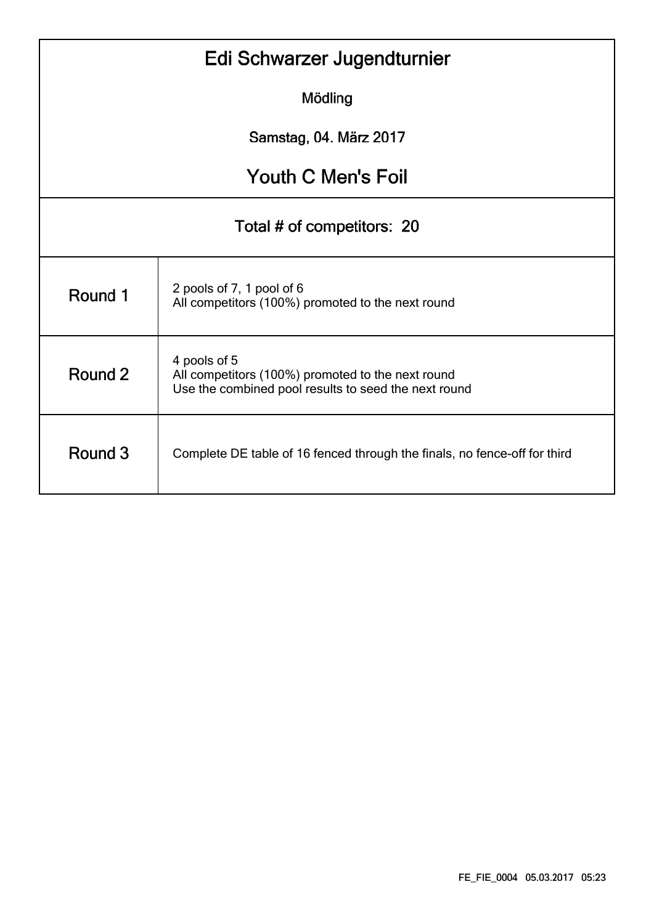| Edi Schwarzer Jugendturnier |                                                                                                                           |  |  |  |  |  |  |  |  |  |
|-----------------------------|---------------------------------------------------------------------------------------------------------------------------|--|--|--|--|--|--|--|--|--|
| Mödling                     |                                                                                                                           |  |  |  |  |  |  |  |  |  |
| Samstag, 04. März 2017      |                                                                                                                           |  |  |  |  |  |  |  |  |  |
| <b>Youth C Men's Foil</b>   |                                                                                                                           |  |  |  |  |  |  |  |  |  |
| Total # of competitors: 20  |                                                                                                                           |  |  |  |  |  |  |  |  |  |
| Round 1                     | 2 pools of 7, 1 pool of 6<br>All competitors (100%) promoted to the next round                                            |  |  |  |  |  |  |  |  |  |
| Round 2                     | 4 pools of 5<br>All competitors (100%) promoted to the next round<br>Use the combined pool results to seed the next round |  |  |  |  |  |  |  |  |  |
| Round 3                     | Complete DE table of 16 fenced through the finals, no fence-off for third                                                 |  |  |  |  |  |  |  |  |  |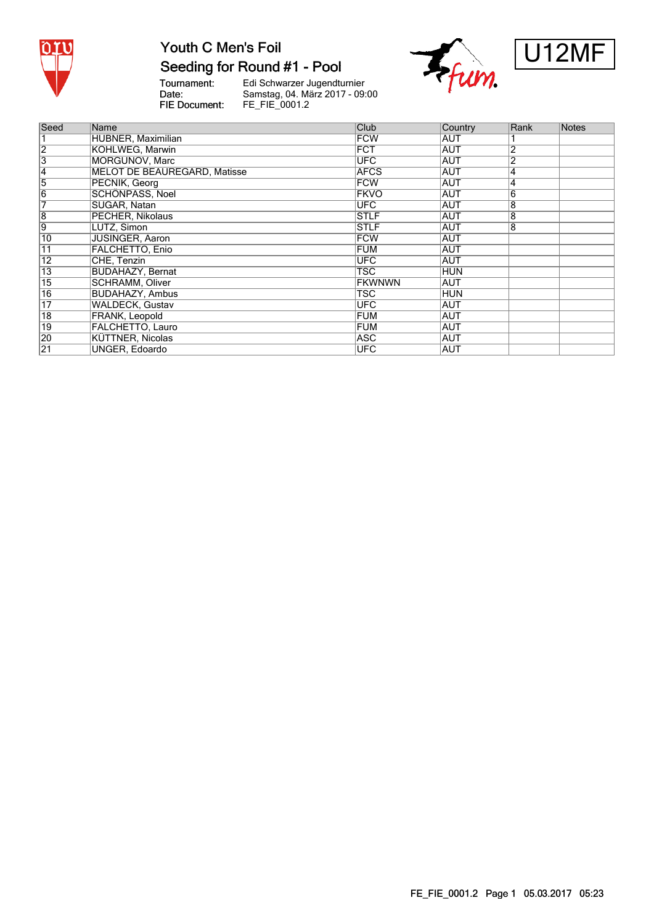

# Seeding for Round #1 - Pool

Tournament:<br>Date: FIE Document:





| Seed            | Name                                | Club          | Country    | Rank           | <b>Notes</b> |
|-----------------|-------------------------------------|---------------|------------|----------------|--------------|
|                 | HUBNER, Maximilian                  | <b>FCW</b>    | <b>AUT</b> |                |              |
| $\overline{2}$  | KOHLWEG. Marwin                     | <b>FCT</b>    | <b>AUT</b> | 2              |              |
| $\overline{3}$  | MORGUNOV, Marc                      | <b>UFC</b>    | AUT        | $\overline{2}$ |              |
| 4               | <b>MELOT DE BEAUREGARD, Matisse</b> | <b>AFCS</b>   | <b>AUT</b> | 4              |              |
| 5               | PECNIK, Georg                       | <b>FCW</b>    | <b>AUT</b> | 4              |              |
| $\overline{6}$  | SCHÖNPASS, Noel                     | <b>FKVO</b>   | <b>AUT</b> | 6              |              |
| 7               | SUGAR, Natan                        | <b>UFC</b>    | AUT        | 8              |              |
| $\overline{8}$  | PECHER, Nikolaus                    | <b>STLF</b>   | AUT        | 8              |              |
| 9               | LUTZ, Simon                         | <b>STLF</b>   | <b>AUT</b> | 8              |              |
| 10              | <b>JUSINGER, Aaron</b>              | <b>FCW</b>    | AUT        |                |              |
| $\overline{11}$ | FALCHETTO, Enio                     | <b>FUM</b>    | <b>AUT</b> |                |              |
| $\overline{12}$ | CHE, Tenzin                         | <b>UFC</b>    | AUT        |                |              |
| $\overline{13}$ | <b>BUDAHAZY, Bernat</b>             | TSC           | <b>HUN</b> |                |              |
| $\overline{15}$ | <b>SCHRAMM. Oliver</b>              | <b>FKWNWN</b> | <b>AUT</b> |                |              |
| $\overline{16}$ | <b>BUDAHAZY, Ambus</b>              | TSC           | HUN        |                |              |
| $\overline{17}$ | <b>WALDECK, Gustav</b>              | <b>UFC</b>    | AUT        |                |              |
| $\overline{18}$ | FRANK, Leopold                      | <b>FUM</b>    | AUT        |                |              |
| $\overline{19}$ | FALCHETTO, Lauro                    | <b>FUM</b>    | IAUT       |                |              |
| 20              | <b>KÜTTNER, Nicolas</b>             | ASC           | AUT        |                |              |
| $\overline{21}$ | UNGER, Edoardo                      | <b>UFC</b>    | IAUT       |                |              |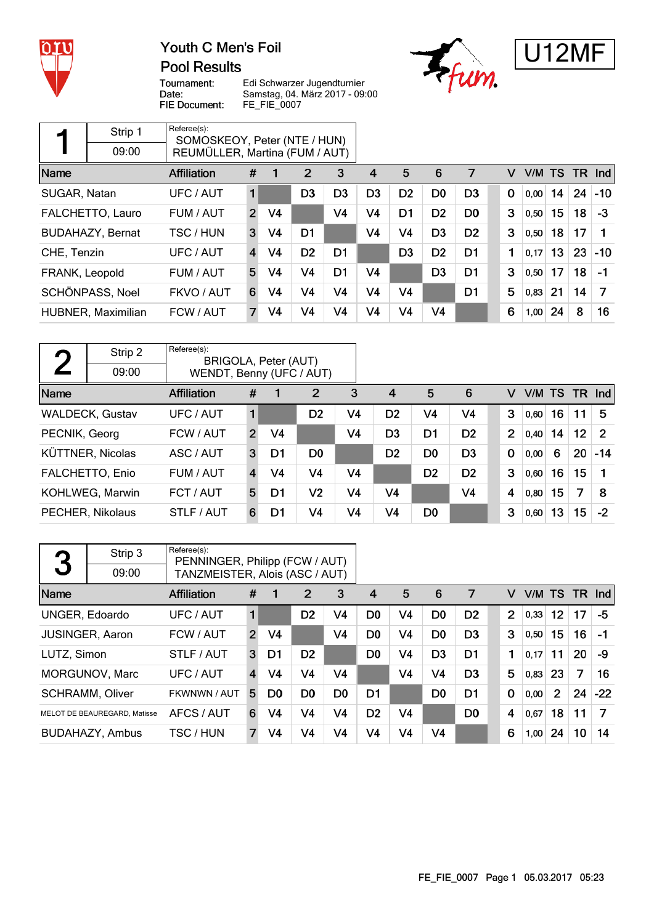

### Youth C Men's Foil **Pool Results**





Tournament: Date: FIE Document:

|                | Strip 1                 | Referee(s):<br>SOMOSKEOY, Peter (NTE / HUN) |                         |                |                |                |                |                |                |                |             |        |    |      |                      |
|----------------|-------------------------|---------------------------------------------|-------------------------|----------------|----------------|----------------|----------------|----------------|----------------|----------------|-------------|--------|----|------|----------------------|
|                | 09:00                   | REUMÜLLER, Martina (FUM / AUT)              |                         |                |                |                |                |                |                |                |             |        |    |      |                      |
| Name           |                         | <b>Affiliation</b>                          | #                       |                | 2              | 3              | 4              | 5              | 6              | 7              | v           | V/M TS |    | - TR | $\lfloor nd \rfloor$ |
| SUGAR, Natan   |                         | UFC / AUT                                   | $\mathbf{1}$            |                | D <sub>3</sub> | D <sub>3</sub> | D3             | D <sub>2</sub> | D <sub>0</sub> | D <sub>3</sub> | $\mathbf 0$ | 0,00   | 14 | 24   | $-10$                |
|                | FALCHETTO, Lauro        | FUM / AUT                                   | $\overline{2}$          | V <sub>4</sub> |                | V <sub>4</sub> | V4             | D <sub>1</sub> | D <sub>2</sub> | D <sub>0</sub> | 3           | 0,50   | 15 | 18   | $-3$                 |
|                | <b>BUDAHAZY, Bernat</b> | TSC / HUN                                   | 3                       | V <sub>4</sub> | D1             |                | V4             | V <sub>4</sub> | D <sub>3</sub> | D <sub>2</sub> | 3           | 0,50   | 18 | 17   | 1                    |
| CHE, Tenzin    |                         | UFC / AUT                                   | $\overline{\mathbf{4}}$ | V4             | D <sub>2</sub> | D <sub>1</sub> |                | D <sub>3</sub> | D <sub>2</sub> | D1             | 1           | 0.17   | 13 | 23   | $-10$                |
| FRANK, Leopold |                         | FUM / AUT                                   | 5                       | V <sub>4</sub> | V <sub>4</sub> | D <sub>1</sub> | V4             |                | D <sub>3</sub> | D <sub>1</sub> | 3           | 0,50   | 17 | 18   | $-1$                 |
|                | SCHÖNPASS, Noel         | FKVO / AUT                                  | 6                       | V4             | V <sub>4</sub> | V4             | V <sub>4</sub> | V <sub>4</sub> |                | D <sub>1</sub> | 5           | 0,83   | 21 | 14   | 7                    |
|                | HUBNER, Maximilian      | FCW / AUT                                   |                         | V <sub>4</sub> | V <sub>4</sub> | V <sub>4</sub> | V <sub>4</sub> | V <sub>4</sub> | V <sub>4</sub> |                | 6           | 1,00   | 24 | 8    | 16                   |

| η             | Strip 2                 | Referee(s):<br>BRIGOLA, Peter (AUT) |                |                |                |                |                |                |                |                |      |        |     |                |
|---------------|-------------------------|-------------------------------------|----------------|----------------|----------------|----------------|----------------|----------------|----------------|----------------|------|--------|-----|----------------|
|               | 09:00                   | WENDT, Benny (UFC / AUT)            |                |                |                |                |                |                |                |                |      |        |     |                |
| Name          |                         | Affiliation                         | #              |                | $\overline{2}$ | 3              | $\overline{4}$ | 5              | 6              | v              |      | V/M TS | TR. | nd             |
|               | <b>WALDECK, Gustav</b>  | UFC / AUT                           | 1              |                | D <sub>2</sub> | V4             | D <sub>2</sub> | V4             | V4             | 3              | 0,60 | 16     | 11  | -5             |
| PECNIK, Georg |                         | FCW / AUT                           | $\overline{2}$ | V <sub>4</sub> |                | V <sub>4</sub> | D <sub>3</sub> | D <sub>1</sub> | D <sub>2</sub> | $\overline{2}$ | 0,40 | 14     | 12  | $\overline{2}$ |
|               | <b>KÜTTNER, Nicolas</b> | ASC / AUT                           | 3              | D1             | D <sub>0</sub> |                | D <sub>2</sub> | D <sub>0</sub> | D <sub>3</sub> | $\mathbf 0$    | 0,00 | 6      | 20  | $-14$          |
|               | FALCHETTO, Enio         | FUM / AUT                           | 4              | V4             | V4             | V <sub>4</sub> |                | D <sub>2</sub> | D <sub>2</sub> | 3              | 0,60 | 16     | 15  |                |
|               | KOHLWEG, Marwin         | FCT / AUT                           | 5              | D1             | V <sub>2</sub> | V4             | V4             |                | V <sub>4</sub> | 4              | 0,80 | 15     | 7   | -8             |
|               | PECHER, Nikolaus        | STLF / AUT                          | 6              | D1             | V4             | V4             | V4             | D <sub>0</sub> |                | 3              | 0,60 | 13     | 15  | $-2$           |

| 3                     | Strip 3                      | Referee(s):<br>PENNINGER, Philipp (FCW / AUT) |                |                |                |                |                |                |                |                |                |      |                |     |       |
|-----------------------|------------------------------|-----------------------------------------------|----------------|----------------|----------------|----------------|----------------|----------------|----------------|----------------|----------------|------|----------------|-----|-------|
|                       | 09:00                        | TANZMEISTER, Alois (ASC / AUT)                |                |                |                |                |                |                |                |                |                |      |                |     |       |
| Name                  |                              | <b>Affiliation</b>                            | #              |                | 2              | 3              | $\overline{4}$ | 5              | 6              | 7              | v              | V/M  | <b>TS</b>      | TR. | Ind   |
| <b>UNGER, Edoardo</b> |                              | UFC / AUT                                     | 1              |                | D <sub>2</sub> | V4             | D <sub>0</sub> | V <sub>4</sub> | D <sub>0</sub> | D <sub>2</sub> | $\overline{2}$ | 0,33 | 12             | 17  | -5    |
|                       | <b>JUSINGER, Aaron</b>       | FCW / AUT                                     | $\overline{2}$ | V <sub>4</sub> |                | V <sub>4</sub> | D <sub>0</sub> | V <sub>4</sub> | D <sub>0</sub> | D <sub>3</sub> | 3              | 0,50 | 15             | 16  | $-1$  |
| LUTZ, Simon           |                              | STLF / AUT                                    | 3              | D1             | D <sub>2</sub> |                | D <sub>0</sub> | V <sub>4</sub> | D <sub>3</sub> | D <sub>1</sub> | 1              | 0,17 | 11             | 20  | -9    |
|                       | MORGUNOV, Marc               | UFC / AUT                                     | 4              | V <sub>4</sub> | V <sub>4</sub> | V <sub>4</sub> |                | V <sub>4</sub> | V <sub>4</sub> | D <sub>3</sub> | 5              | 0,83 | 23             | 7   | 16    |
|                       | <b>SCHRAMM, Oliver</b>       | FKWNWN / AUT                                  | 5              | D <sub>0</sub> | D <sub>0</sub> | D <sub>0</sub> | D1             |                | D <sub>0</sub> | D <sub>1</sub> | $\Omega$       | 0,00 | $\overline{2}$ | 24  | $-22$ |
|                       | MELOT DE BEAUREGARD, Matisse | AFCS / AUT                                    | 6              | V4             | V <sub>4</sub> | V <sub>4</sub> | D <sub>2</sub> | V <sub>4</sub> |                | D <sub>0</sub> | 4              | 0,67 | 18             | 11  | 7     |
|                       | BUDAHAZY, Ambus              | TSC / HUN                                     | 7              | V <sub>4</sub> | V <sub>4</sub> | V4             | V4             | V <sub>4</sub> | V <sub>4</sub> |                | 6              | 1,00 | 24             | 10  | 14    |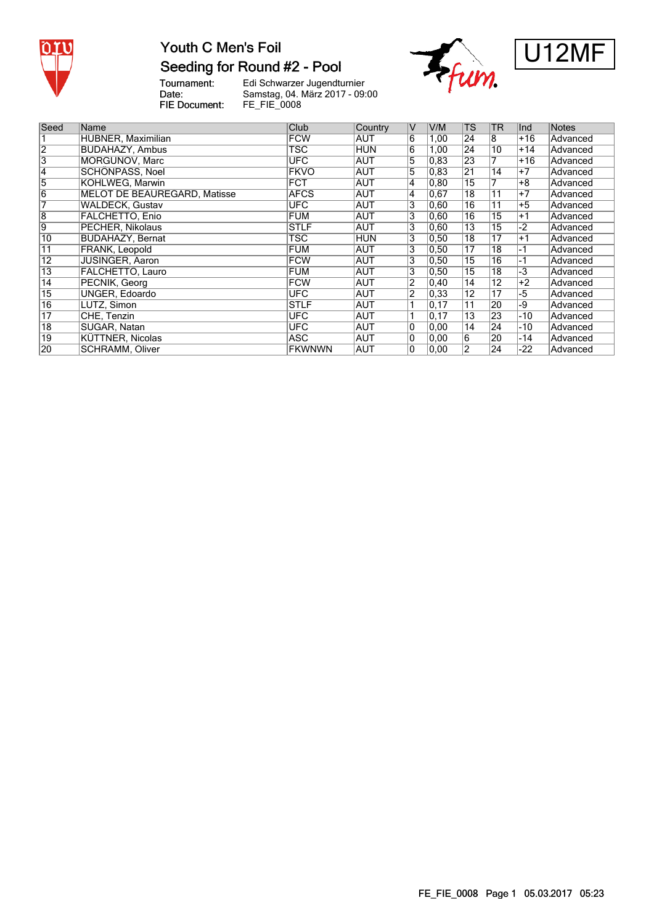

# Youth C Men's Foil Seeding for Round #2 - Pool

Tournament:<br>Date: FIE Document:





| Seed            | Name                         | Club          | Country    | IV              | V/M            | <b>TS</b>       | <b>TR</b>       | Ind   | <b>Notes</b> |
|-----------------|------------------------------|---------------|------------|-----------------|----------------|-----------------|-----------------|-------|--------------|
|                 |                              |               |            |                 |                |                 |                 |       |              |
|                 | HUBNER, Maximilian           | <b>FCW</b>    | AUT        | $\overline{6}$  | 1,00           | 24              | 8               | $+16$ | Advanced     |
| $\overline{2}$  | <b>BUDAHAZY, Ambus</b>       | <b>TSC</b>    | <b>HUN</b> | $6\phantom{1}6$ | 1,00           | 24              | 10              | $+14$ | Advanced     |
| 3               | <b>MORGUNOV, Marc</b>        | <b>UFC</b>    | AUT        | $\overline{5}$  | $ 0,83\rangle$ | 23              | 7               | $+16$ | Advanced     |
| 4               | SCHÖNPASS, Noel              | <b>FKVO</b>   | AUT        | 5               | 0,83           | 21              | 14              | $+7$  | Advanced     |
| $\overline{5}$  | KOHLWEG, Marwin              | <b>FCT</b>    | <b>AUT</b> | 4               | 0,80           | $\overline{15}$ | 7               | $+8$  | Advanced     |
| $\overline{6}$  | MELOT DE BEAUREGARD, Matisse | <b>AFCS</b>   | <b>AUT</b> | 4               | 0,67           | 18              | 11              | $+7$  | Advanced     |
| 7               | <b>WALDECK, Gustav</b>       | <b>UFC</b>    | <b>AUT</b> | 3               | 0.60           | 16              | $\overline{11}$ | $+5$  | Advanced     |
| $\overline{8}$  | <b>FALCHETTO, Enio</b>       | <b>FUM</b>    | AUT        | 3               | 0,60           | 16              | 15              | $+1$  | Advanced     |
| 9               | PECHER, Nikolaus             | <b>STLF</b>   | AUT        | 3               | 0.60           | 13              | 15              | -2    | Advanced     |
| 10              | <b>BUDAHAZY, Bernat</b>      | TSC           | <b>HUN</b> | 3               | 0,50           | 18              | 17              | $+1$  | Advanced     |
| 11              | <b>FRANK, Leopold</b>        | <b>FUM</b>    | AUT        | 3               | 0,50           | 17              | 18              | $-1$  | Advanced     |
| $\overline{12}$ | <b>JUSINGER, Aaron</b>       | <b>FCW</b>    | AUT        | 3               | 0.50           | 15              | 16              | -1    | Advanced     |
| $\overline{13}$ | FALCHETTO, Lauro             | <b>FUM</b>    | AUT        | 3               | 0,50           | 15              | 18              | $-3$  | Advanced     |
| $\overline{14}$ | PECNIK, Georg                | <b>FCW</b>    | <b>AUT</b> | 2               | 0,40           | 14              | 12              | $+2$  | Advanced     |
| $\overline{15}$ | <b>UNGER, Edoardo</b>        | <b>UFC</b>    | AUT        | $\overline{2}$  | 0.33           | 12              | 17              | -5    | Advanced     |
| $\overline{16}$ | LUTZ, Simon                  | <b>STLF</b>   | <b>AUT</b> |                 | 0, 17          | $\overline{11}$ | $\overline{20}$ | -9    | Advanced     |
| $\overline{17}$ | CHE, Tenzin                  | <b>UFC</b>    | AUT        |                 | 0,17           | 13              | 23              | -10   | Advanced     |
| $\overline{18}$ | SUGAR, Natan                 | <b>UFC</b>    | AUT        | $ 0\rangle$     | 0.00           | 14              | 24              | -10   | Advanced     |
| 19              | <b>KÜTTNER, Nicolas</b>      | <b>ASC</b>    | AUT        | 0               | 0,00           | 6               | 20              | $-14$ | Advanced     |
| 20              | <b>SCHRAMM, Oliver</b>       | <b>FKWNWN</b> | AUT        | 0               | 0.00           | $\overline{2}$  | 24              | -22   | Advanced     |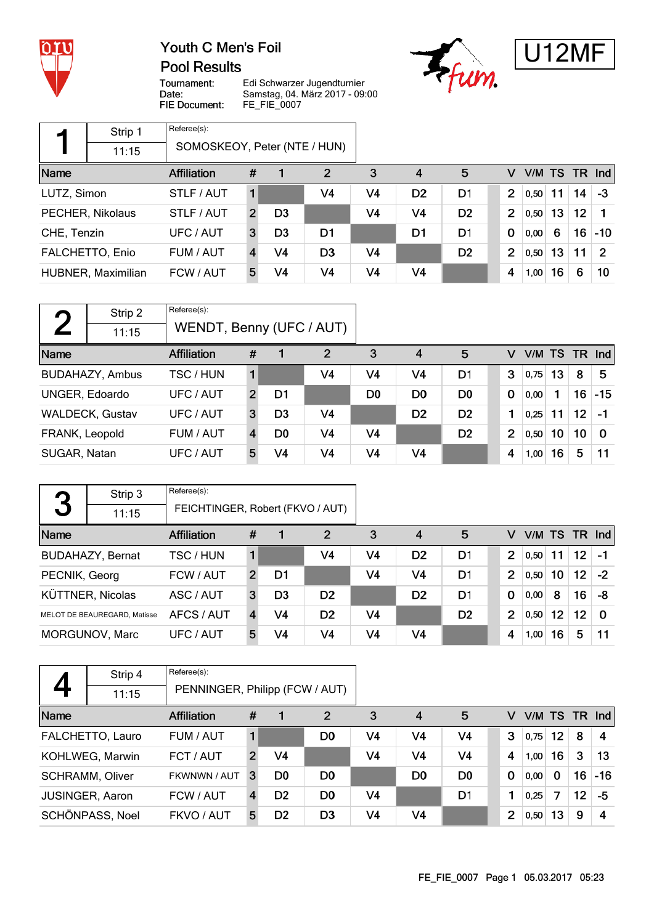

**Pool Results** 





Tournament: Date: FIE Document:

|             | Strip 1            | Referee(s):                  |                |                |                |    |                |                |                |      |    |    |                  |
|-------------|--------------------|------------------------------|----------------|----------------|----------------|----|----------------|----------------|----------------|------|----|----|------------------|
|             | 11:15              | SOMOSKEOY, Peter (NTE / HUN) |                |                |                |    |                |                |                |      |    |    |                  |
| Name        |                    | <b>Affiliation</b>           | #              |                | 2              | 3  | $\overline{4}$ | 5              | v              |      |    |    | $VM$ TS TR $Ind$ |
| LUTZ, Simon |                    | STLF / AUT                   | 1.             |                | V4             | V4 | D <sub>2</sub> | D1             | $\overline{2}$ | 0.50 | 11 | 14 | -3               |
|             | PECHER, Nikolaus   | STLF / AUT                   | $\overline{2}$ | D <sub>3</sub> |                | V4 | V <sub>4</sub> | D <sub>2</sub> | $\overline{2}$ | 0,50 | 13 | 12 |                  |
| CHE, Tenzin |                    | UFC / AUT                    | 3              | D <sub>3</sub> | D <sub>1</sub> |    | D1             | D1             | $\mathbf 0$    | 0,00 | 6  | 16 | $-10$            |
|             | FALCHETTO, Enio    | FUM / AUT                    |                | V4             | D3             | V4 |                | D <sub>2</sub> | $\overline{2}$ | 0,50 | 13 | 11 | $\mathcal{P}$    |
|             | HUBNER, Maximilian | FCW / AUT                    | 5              | V4             | V4             | V4 | V4             |                | 4              | 1,00 | 16 | 6  | 10               |

| $\Gamma$       | Strip 2                | Referee(s):              |                |                |                |                |                |                |             |           |    |    |                      |
|----------------|------------------------|--------------------------|----------------|----------------|----------------|----------------|----------------|----------------|-------------|-----------|----|----|----------------------|
|                | 11:15                  | WENDT, Benny (UFC / AUT) |                |                |                |                |                |                |             |           |    |    |                      |
| Name           |                        | <b>Affiliation</b>       | #              |                | 2              | 3              | $\overline{4}$ | 5              | v           | V/M TS TR |    |    | $\lfloor nd \rfloor$ |
|                | <b>BUDAHAZY, Ambus</b> | TSC / HUN                |                |                | V4             | V4             | V4             | D1             | 3           | 0,75      | 13 | 8  | 5                    |
|                | UNGER, Edoardo         | UFC / AUT                | $\overline{2}$ | D1             |                | D <sub>0</sub> | D <sub>0</sub> | D <sub>0</sub> | $\mathbf 0$ | 0,00      |    | 16 | $-15$                |
|                | WALDECK, Gustav        | UFC / AUT                | 3              | D <sub>3</sub> | V4             |                | D <sub>2</sub> | D <sub>2</sub> | 1           | 0,25      | 11 | 12 | -1                   |
| FRANK, Leopold |                        | FUM / AUT                | 4              | D <sub>0</sub> | V4             | V <sub>4</sub> |                | D <sub>2</sub> | 2           | 0,50      | 10 | 10 | $\Omega$             |
| SUGAR, Natan   |                        | UFC / AUT                | 5              | V4             | V <sub>4</sub> | V <sub>4</sub> | V4             |                | 4           | 1,00      | 16 | 5  | 11                   |

|               | Strip 3                      | Referee(s):                      |                |                |                |    |                |                |                |               |    |                 |          |
|---------------|------------------------------|----------------------------------|----------------|----------------|----------------|----|----------------|----------------|----------------|---------------|----|-----------------|----------|
| 3             | 11:15                        | FEICHTINGER, Robert (FKVO / AUT) |                |                |                |    |                |                |                |               |    |                 |          |
| Name          |                              | <b>Affiliation</b>               | #              | 1              | $\overline{2}$ | 3  | 4              | 5              | v              | V/M TS TR Ind |    |                 |          |
|               | <b>BUDAHAZY, Bernat</b>      | TSC / HUN                        |                |                | V4             | V4 | D <sub>2</sub> | D1             | $\overline{2}$ | 0,50          | 11 | 12 <sup>°</sup> | -1       |
| PECNIK, Georg |                              | FCW / AUT                        | $\overline{2}$ | D1             |                | V4 | V4             | D1             | $\overline{2}$ | 0,50          | 10 | 12 <sup>2</sup> | $-2$     |
|               | <b>KÜTTNER, Nicolas</b>      | ASC / AUT                        | 3              | D <sub>3</sub> | D <sub>2</sub> |    | D <sub>2</sub> | D1             | $\bf{0}$       | 0,00          | 8  | 16              | -8       |
|               | MELOT DE BEAUREGARD, Matisse | AFCS / AUT                       | 4              | V4             | D <sub>2</sub> | V4 |                | D <sub>2</sub> | $\overline{2}$ | 0,50          | 12 | 12              | $\Omega$ |
|               | MORGUNOV, Marc               | UFC / AUT                        | 5              | V4             | V <sub>4</sub> | V4 | V4             |                | 4              | 1,00          | 16 | 5               | 11       |

|      | Strip 4                | Referee(s):                    |                |                |                |    |                |                |                |      |    |               |       |
|------|------------------------|--------------------------------|----------------|----------------|----------------|----|----------------|----------------|----------------|------|----|---------------|-------|
|      | 11:15                  | PENNINGER, Philipp (FCW / AUT) |                |                |                |    |                |                |                |      |    |               |       |
| Name |                        | <b>Affiliation</b>             | #              | 1              | 2              | 3  | 4              | 5              | v              |      |    | V/M TS TR Ind |       |
|      | FALCHETTO, Lauro       | FUM / AUT                      |                |                | D0             | V4 | V <sub>4</sub> | V4             | 3              | 0,75 | 12 | 8             | 4     |
|      | KOHLWEG, Marwin        | FCT / AUT                      | $\overline{2}$ | V4             |                | V4 | V4             | V4             | 4              | 1,00 | 16 | 3             | 13    |
|      | <b>SCHRAMM, Oliver</b> | FKWNWN / AUT                   | 3              | D <sub>0</sub> | D <sub>0</sub> |    | D <sub>0</sub> | D <sub>0</sub> | $\mathbf 0$    | 0,00 | 0  | 16            | $-16$ |
|      | <b>JUSINGER, Aaron</b> | FCW / AUT                      |                | D <sub>2</sub> | D0             | V4 |                | D <sub>1</sub> | 1              | 0,25 | 7  | 12            | -5    |
|      | SCHÖNPASS, Noel        | FKVO / AUT                     | 5              | D <sub>2</sub> | D <sub>3</sub> | V4 | V <sub>4</sub> |                | $\overline{2}$ | 0,50 | 13 | 9             | 4     |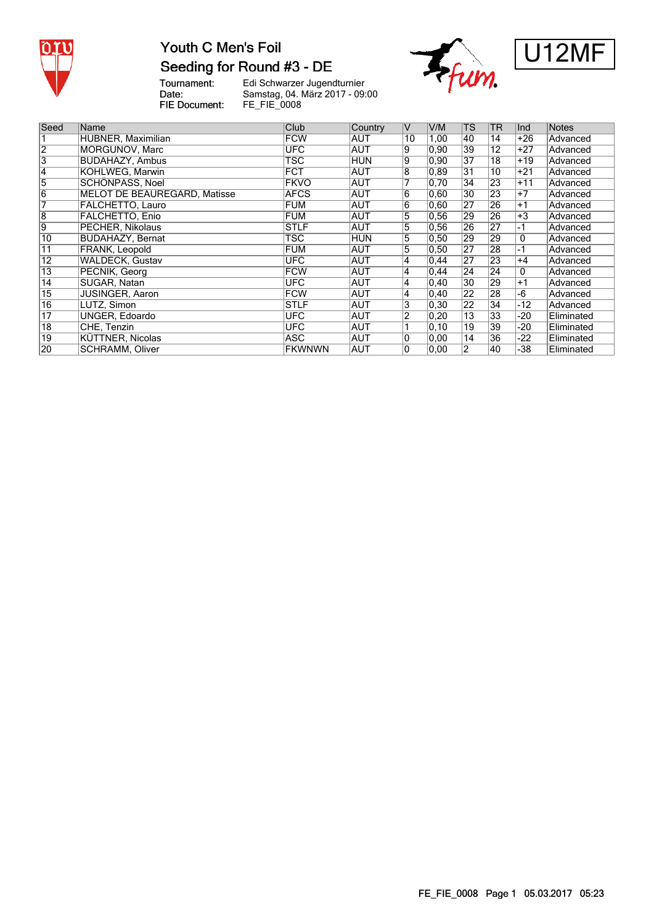

# Youth C Men's Foil Seeding for Round #3 - DE

Tournament:<br>Date: FIE Document:





| Seed            | Name                                | Club          | Country    | IV             | V/M            | <b>TS</b>       | <b>TR</b>       | Ind   | <b>Notes</b> |
|-----------------|-------------------------------------|---------------|------------|----------------|----------------|-----------------|-----------------|-------|--------------|
|                 | HUBNER, Maximilian                  | <b>FCW</b>    | <b>AUT</b> | 10             | 1,00           | 40              | 14              | +26   | Advanced     |
| $\overline{2}$  | MORGUNOV, Marc                      | UFC.          | <b>AUT</b> | Ι9             | 0,90           | 39              | $\overline{12}$ | +27   | Advanced     |
| 3               | <b>BUDAHAZY, Ambus</b>              | <b>TSC</b>    | <b>HUN</b> | 9              | 0,90           | 37              | $\overline{18}$ | $+19$ | Advanced     |
| $\overline{4}$  | <b>KOHLWEG, Marwin</b>              | <b>FCT</b>    | AUT        | 8              | 0.89           | 31              | 10              | +21   | Advanced     |
| $\overline{5}$  | SCHÖNPASS, Noel                     | <b>FKVO</b>   | <b>AUT</b> |                | 0,70           | $\overline{34}$ | 23              | $+11$ | Advanced     |
| $\overline{6}$  | <b>MELOT DE BEAUREGARD, Matisse</b> | <b>AFCS</b>   | <b>AUT</b> | 6              | 0,60           | 30              | $\overline{23}$ | $+7$  | Advanced     |
| 7               | FALCHETTO, Lauro                    | <b>FUM</b>    | <b>AUT</b> | 6              | 0.60           | $\overline{27}$ | 26              | $+1$  | Advanced     |
| $\overline{8}$  | <b>FALCHETTO, Enio</b>              | <b>FUM</b>    | AUT        | 5              | 0, 56          | 29              | 26              | $+3$  | Advanced     |
| 9               | PECHER, Nikolaus                    | <b>STLF</b>   | AUT        | 5              | 0.56           | 26              | 27              | -1    | Advanced     |
| 10              | <b>BUDAHAZY, Bernat</b>             | <b>TSC</b>    | HUN        | 5              | 0,50           | 29              | 29              | 0     | Advanced     |
| $\overline{11}$ | <b>FRANK, Leopold</b>               | <b>FUM</b>    | AUT        | 5              | 0,50           | 27              | 28              | -1    | Advanced     |
| $\overline{12}$ | <b>WALDECK, Gustav</b>              | <b>UFC</b>    | AUT        | 4              | 0.44           | $\overline{27}$ | 23              | $+4$  | Advanced     |
| $\overline{13}$ | PECNIK, Georg                       | <b>FCW</b>    | AUT        | 4              | 0.44           | 24              | 24              | 0     | Advanced     |
| 14              | <b>SUGAR, Natan</b>                 | <b>UFC</b>    | <b>AUT</b> | $\overline{4}$ | 0,40           | 30              | 29              | $+1$  | Advanced     |
| $\overline{15}$ | JUSINGER, Aaron                     | <b>FCW</b>    | <b>AUT</b> | 4              | 0.40           | $\overline{22}$ | 28              | -6    | Advanced     |
| 16              | LUTZ, Simon                         | <b>STLF</b>   | <b>AUT</b> | 3              | 0.30           | $\overline{22}$ | $\overline{34}$ | -12   | Advanced     |
| $\overline{17}$ | UNGER, Edoardo                      | <b>UFC</b>    | <b>AUT</b> | 2              | $ 0,20\rangle$ | 13              | 33              | -20   | Eliminated   |
| $\overline{18}$ | CHE, Tenzin                         | <b>UFC</b>    | <b>AUT</b> |                | $ 0,10\rangle$ | 19              | 39              | -20   | Eliminated   |
| 19              | KÜTTNER, Nicolas                    | ASC           | <b>AUT</b> | 10             | 0,00           | 14              | 36              | -22   | Eliminated   |
| 20              | <b>SCHRAMM, Oliver</b>              | <b>FKWNWN</b> | <b>AUT</b> | $\overline{0}$ | 0.00           | $\overline{2}$  | 40              | -38   | Eliminated   |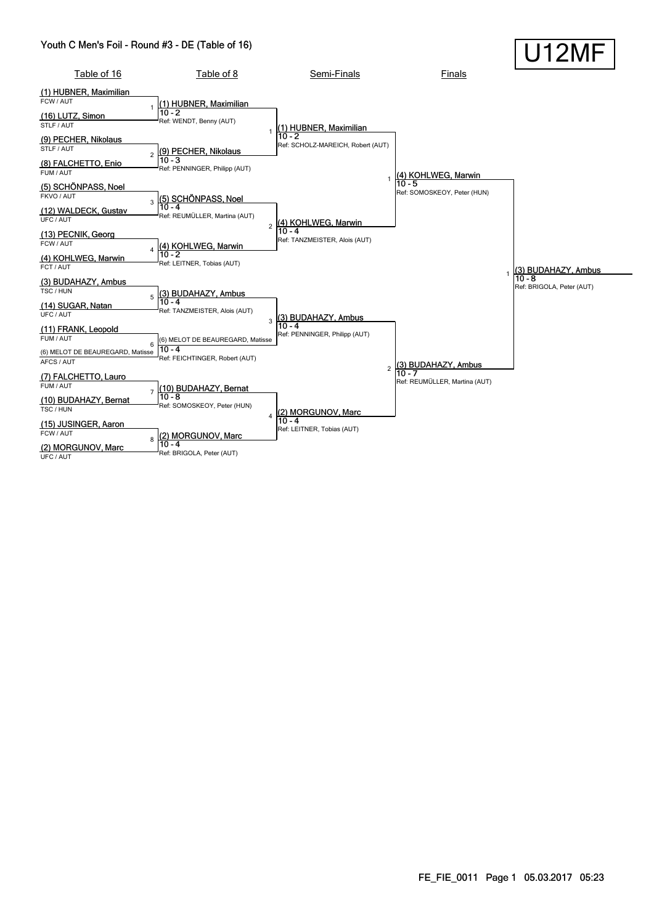#### Youth C Men's Foil - Round #3 - DE (Table of 16)

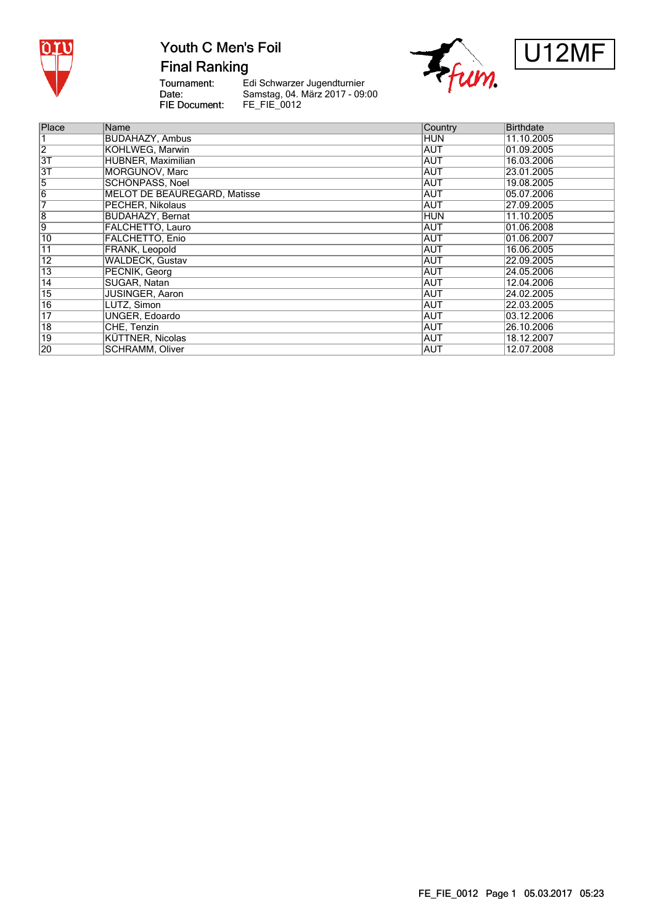

**Final Ranking** 

Tournament:<br>Date: FIE Document:





| Place                   | Name                                | Country    | <b>Birthdate</b> |
|-------------------------|-------------------------------------|------------|------------------|
|                         | <b>BUDAHAZY, Ambus</b>              | HUN        | 11.10.2005       |
| $\overline{2}$          | KOHLWEG, Marwin                     | <b>AUT</b> | 01.09.2005       |
| $\overline{3T}$         | HUBNER, Maximilian                  | <b>AUT</b> | 16.03.2006       |
| $\overline{3T}$         | MORGUNOV, Marc                      | <b>AUT</b> | 23.01.2005       |
| 5                       | <b>SCHÖNPASS, Noel</b>              | <b>AUT</b> | 19.08.2005       |
| $\overline{6}$          | <b>MELOT DE BEAUREGARD, Matisse</b> | <b>AUT</b> | 05.07.2006       |
|                         | PECHER, Nikolaus                    | AUT        | 27.09.2005       |
| $\overline{\mathbf{8}}$ | <b>BUDAHAZY, Bernat</b>             | <b>HUN</b> | 11.10.2005       |
| 9                       | FALCHETTO, Lauro                    | AUT        | 01.06.2008       |
| 10                      | <b>FALCHETTO, Enio</b>              | <b>AUT</b> | 01.06.2007       |
| $\overline{11}$         | FRANK, Leopold                      | <b>AUT</b> | 16.06.2005       |
| $\overline{12}$         | <b>WALDECK, Gustav</b>              | <b>AUT</b> | 22.09.2005       |
| $\overline{13}$         | PECNIK, Georg                       | <b>AUT</b> | 24.05.2006       |
| $\overline{14}$         | SUGAR, Natan                        | <b>AUT</b> | 12.04.2006       |
| $\overline{15}$         | <b>JUSINGER, Aaron</b>              | <b>AUT</b> | 24.02.2005       |
| 16                      | LUTZ, Simon                         | AUT        | 22.03.2005       |
| $\overline{17}$         | <b>UNGER, Edoardo</b>               | <b>AUT</b> | 03.12.2006       |
| $\overline{18}$         | CHE, Tenzin                         | AUT        | 26.10.2006       |
| $\overline{19}$         | <b>KÜTTNER, Nicolas</b>             | <b>AUT</b> | 18.12.2007       |
| 20                      | <b>SCHRAMM, Oliver</b>              | <b>AUT</b> | 12.07.2008       |